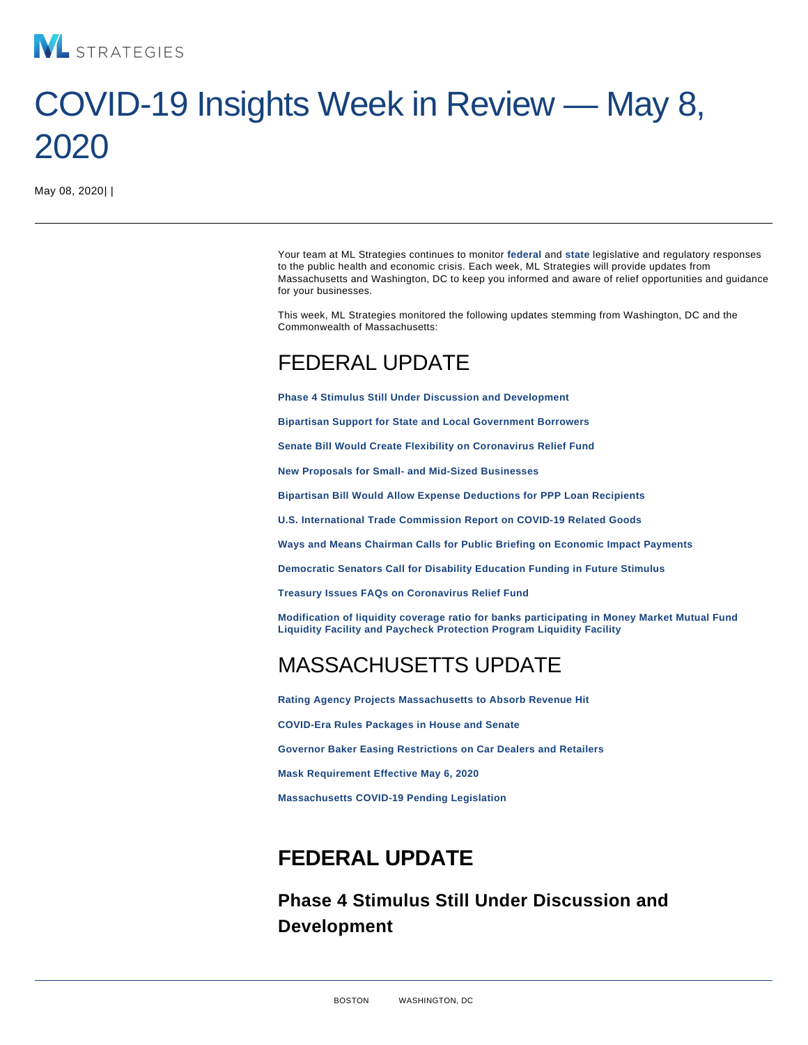# COVID-19 Insights Week in Review — May 8, 2020

May 08, 2020| |

Your team at ML Strategies continues to monitor federal and [state](#page-3-0) legislative and regulatory responses to the public health and economic crisis. Each week, ML Strategies will provide updates from Massachusetts and Washington, DC to keep you informed and aware of relief opportunities and guidance for your businesses.

This week, ML Strategies monitored the following updates stemming from Washington, DC and the Commonwealth of Massachusetts:

# FEDERAL UPDATE

Phase 4 Stimulus Still Under Discussion and Development

[Bipartisan Support for State and Local Government Borrowers](#page-1-0)

[Senate Bill Would Create Flexibility on Coronavirus Relief Fund](#page-1-0)

[New Proposals for Small- and Mid-Sized Businesses](#page-1-0)

[Bipartisan Bill Would Allow Expense Deductions for PPP Loan Recipients](#page-2-0)

[U.S. International Trade Commission Report on COVID-19 Related Goods](#page-2-0)

[Ways and Means Chairman Calls for Public Briefing on Economic Impact Payments](#page-2-0)

[Democratic Senators Call for Disability Education Funding in Future Stimulus](#page-3-0)

[Treasury Issues FAQs on Coronavirus Relief Fund](#page-3-0)

[Modification of liquidity coverage ratio for banks participating in Money Market Mutual Fund](#page-3-0) [Liquidity Facility and Paycheck Protection Program Liquidity Facility](#page-3-0)

# MASSACHUSETTS UPDATE

[Rating Agency Projects Massachusetts to Absorb Revenue Hit](#page-3-0) [COVID-Era Rules Packages in House and Senate](#page-3-0) [Governor Baker Easing Restrictions on Car Dealers and Retailers](#page-4-0) [Mask Requirement Effective May 6, 2020](#page-4-0) [Massachusetts COVID-19 Pending Legislation](#page-4-0)

# FEDERAL UPDATE

Phase 4 Stimulus Still Under Discussion and Development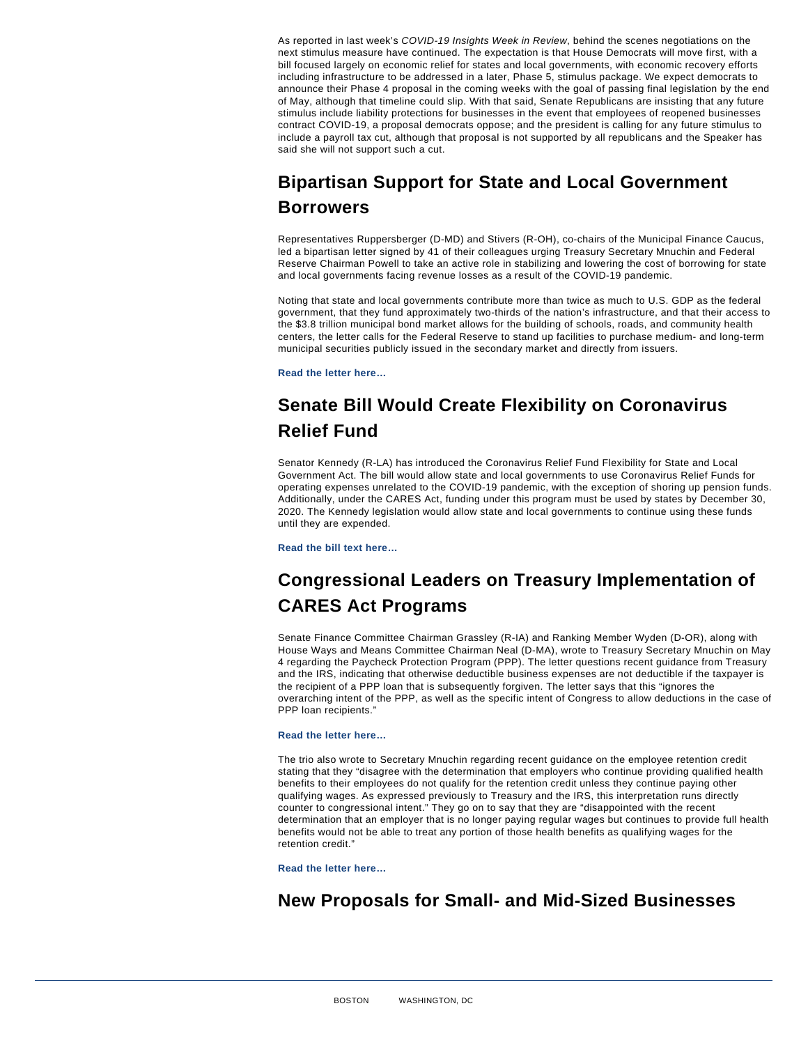<span id="page-1-0"></span>As reported in last week's COVID-19 Insights Week in Review, behind the scenes negotiations on the next stimulus measure have continued. The expectation is that House Democrats will move first, with a bill focused largely on economic relief for states and local governments, with economic recovery efforts including infrastructure to be addressed in a later, Phase 5, stimulus package. We expect democrats to announce their Phase 4 proposal in the coming weeks with the goal of passing final legislation by the end of May, although that timeline could slip. With that said, Senate Republicans are insisting that any future stimulus include liability protections for businesses in the event that employees of reopened businesses contract COVID-19, a proposal democrats oppose; and the president is calling for any future stimulus to include a payroll tax cut, although that proposal is not supported by all republicans and the Speaker has said she will not support such a cut.

# Bipartisan Support for State and Local Government Borrowers

Representatives Ruppersberger (D-MD) and Stivers (R-OH), co-chairs of the Municipal Finance Caucus, led a bipartisan letter signed by 41 of their colleagues urging Treasury Secretary Mnuchin and Federal Reserve Chairman Powell to take an active role in stabilizing and lowering the cost of borrowing for state and local governments facing revenue losses as a result of the COVID-19 pandemic.

Noting that state and local governments contribute more than twice as much to U.S. GDP as the federal government, that they fund approximately two-thirds of the nation's infrastructure, and that their access to the \$3.8 trillion municipal bond market allows for the building of schools, roads, and community health centers, the letter calls for the Federal Reserve to stand up facilities to purchase medium- and long-term municipal securities publicly issued in the secondary market and directly from issuers.

[Read the letter here…](https://stivers.house.gov/uploadedfiles/5.4.2020_letter_to_federal_reserve_w_signatures.pdf)

## Senate Bill Would Create Flexibility on Coronavirus Relief Fund

Senator Kennedy (R-LA) has introduced the Coronavirus Relief Fund Flexibility for State and Local Government Act. The bill would allow state and local governments to use Coronavirus Relief Funds for operating expenses unrelated to the COVID-19 pandemic, with the exception of shoring up pension funds. Additionally, under the CARES Act, funding under this program must be used by states by December 30, 2020. The Kennedy legislation would allow state and local governments to continue using these funds until they are expended.

[Read the bill text here…](https://www.kennedy.senate.gov/public/_cache/files/7/9/79f177af-403a-43cf-9b1d-cc0c0202304f/426A354F4A6480853A0A14E532231310.coronavirus-bill.pdf)

### Congressional Leaders on Treasury Implementation of CARES Act Programs

Senate Finance Committee Chairman Grassley (R-IA) and Ranking Member Wyden (D-OR), along with House Ways and Means Committee Chairman Neal (D-MA), wrote to Treasury Secretary Mnuchin on May 4 regarding the Paycheck Protection Program (PPP). The letter questions recent guidance from Treasury and the IRS, indicating that otherwise deductible business expenses are not deductible if the taxpayer is the recipient of a PPP loan that is subsequently forgiven. The letter says that this "ignores the overarching intent of the PPP, as well as the specific intent of Congress to allow deductions in the case of PPP loan recipients."

#### [Read the letter here…](https://www.finance.senate.gov/imo/media/doc/2020-05-05 CEG, RW, RN to Treasury (PPP Business Deductions).pdf)

The trio also wrote to Secretary Mnuchin regarding recent guidance on the employee retention credit stating that they "disagree with the determination that employers who continue providing qualified health benefits to their employees do not qualify for the retention credit unless they continue paying other qualifying wages. As expressed previously to Treasury and the IRS, this interpretation runs directly counter to congressional intent." They go on to say that they are "disappointed with the recent determination that an employer that is no longer paying regular wages but continues to provide full health benefits would not be able to treat any portion of those health benefits as qualifying wages for the retention credit."

[Read the letter here…](https://www.finance.senate.gov/imo/media/doc/050420 Letter to Treasury on ERTC health benefits.pdf)

#### New Proposals for Small- and Mid-Sized Businesses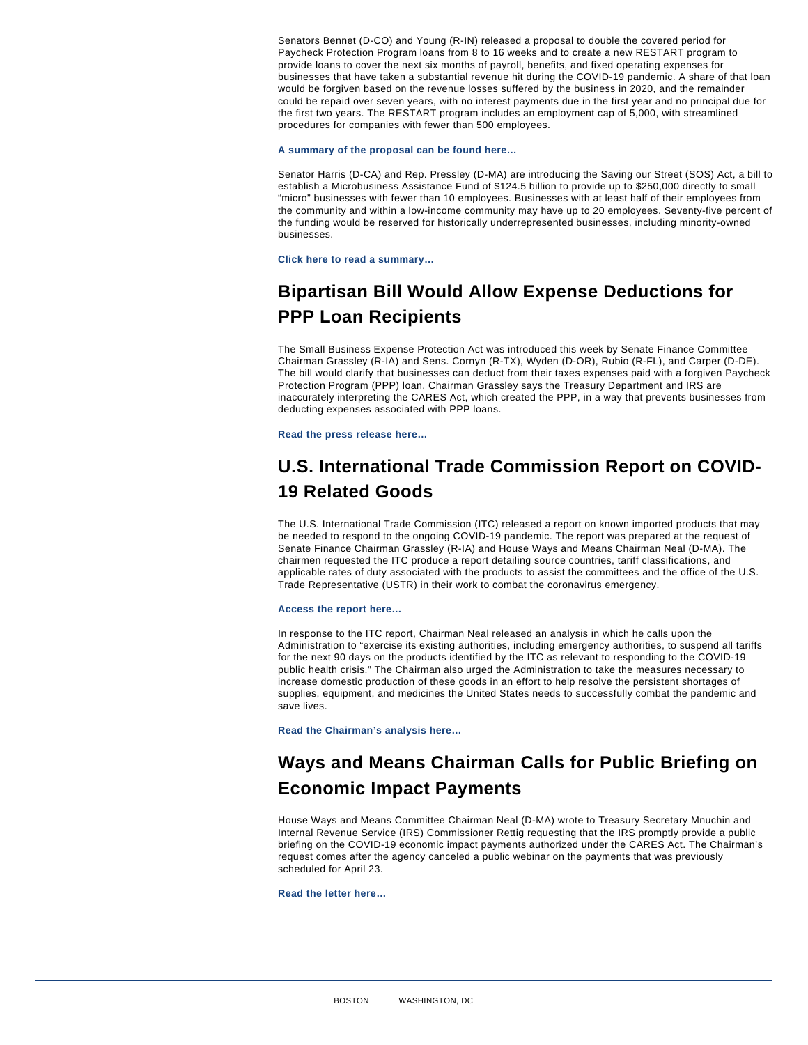<span id="page-2-0"></span>Senators Bennet (D-CO) and Young (R-IN) released a proposal to double the covered period for Paycheck Protection Program loans from 8 to 16 weeks and to create a new RESTART program to provide loans to cover the next six months of payroll, benefits, and fixed operating expenses for businesses that have taken a substantial revenue hit during the COVID-19 pandemic. A share of that loan would be forgiven based on the revenue losses suffered by the business in 2020, and the remainder could be repaid over seven years, with no interest payments due in the first year and no principal due for the first two years. The RESTART program includes an employment cap of 5,000, with streamlined procedures for companies with fewer than 500 employees.

[A summary of the proposal can be found here…](https://www.bennet.senate.gov/public/_cache/files/d/d/dd3f6d08-015a-4263-b50a-988e85b9d4cf/1EEC9B2655D8036C040BC7E654C1D0D7.bennet-young-restart-proposal-fact-sheet.pdf)

Senator Harris (D-CA) and Rep. Pressley (D-MA) are introducing the Saving our Street (SOS) Act, a bill to establish a Microbusiness Assistance Fund of \$124.5 billion to provide up to \$250,000 directly to small "micro" businesses with fewer than 10 employees. Businesses with at least half of their employees from the community and within a low-income community may have up to 20 employees. Seventy-five percent of the funding would be reserved for historically underrepresented businesses, including minority-owned businesses.

[Click here to read a summary…](https://www.harris.senate.gov/imo/media/doc/Saving Our Street Act One Pager.pdf)

### Bipartisan Bill Would Allow Expense Deductions for PPP Loan Recipients

The Small Business Expense Protection Act was introduced this week by Senate Finance Committee Chairman Grassley (R-IA) and Sens. Cornyn (R-TX), Wyden (D-OR), Rubio (R-FL), and Carper (D-DE). The bill would clarify that businesses can deduct from their taxes expenses paid with a forgiven Paycheck Protection Program (PPP) loan. Chairman Grassley says the Treasury Department and IRS are inaccurately interpreting the CARES Act, which created the PPP, in a way that prevents businesses from deducting expenses associated with PPP loans.

[Read the press release here…](https://www.finance.senate.gov/chairmans-news/bipartisan-senators-introduce-bill-to-clarify-small-business-expense-deductions-under-ppp)

#### U.S. International Trade Commission Report on COVID-19 Related Goods

The U.S. International Trade Commission (ITC) released a report on known imported products that may be needed to respond to the ongoing COVID-19 pandemic. The report was prepared at the request of Senate Finance Chairman Grassley (R-IA) and House Ways and Means Chairman Neal (D-MA). The chairmen requested the ITC produce a report detailing source countries, tariff classifications, and applicable rates of duty associated with the products to assist the committees and the office of the U.S. Trade Representative (USTR) in their work to combat the coronavirus emergency.

[Access the report here…](https://www.finance.senate.gov/chairmans-news/international-trade-commission-identifies-imported-goods-needed-to-fight-pandemic)

In response to the ITC report, Chairman Neal released an analysis in which he calls upon the Administration to "exercise its existing authorities, including emergency authorities, to suspend all tariffs for the next 90 days on the products identified by the ITC as relevant to responding to the COVID-19 public health crisis." The Chairman also urged the Administration to take the measures necessary to increase domestic production of these goods in an effort to help resolve the persistent shortages of supplies, equipment, and medicines the United States needs to successfully combat the pandemic and save lives.

[Read the Chairman's analysis here…](https://waysandmeans.house.govsites/democrats.waysandmeans.house.gov/files/documents/WM ITC report analysis _0.pdf)

# Ways and Means Chairman Calls for Public Briefing on Economic Impact Payments

House Ways and Means Committee Chairman Neal (D-MA) wrote to Treasury Secretary Mnuchin and Internal Revenue Service (IRS) Commissioner Rettig requesting that the IRS promptly provide a public briefing on the COVID-19 economic impact payments authorized under the CARES Act. The Chairman's request comes after the agency canceled a public webinar on the payments that was previously scheduled for April 23.

[Read the letter here…](https://waysandmeans.house.govsites/democrats.waysandmeans.house.gov/files/documents/Letter re EIP Briefing, April 30, 2020.pdf)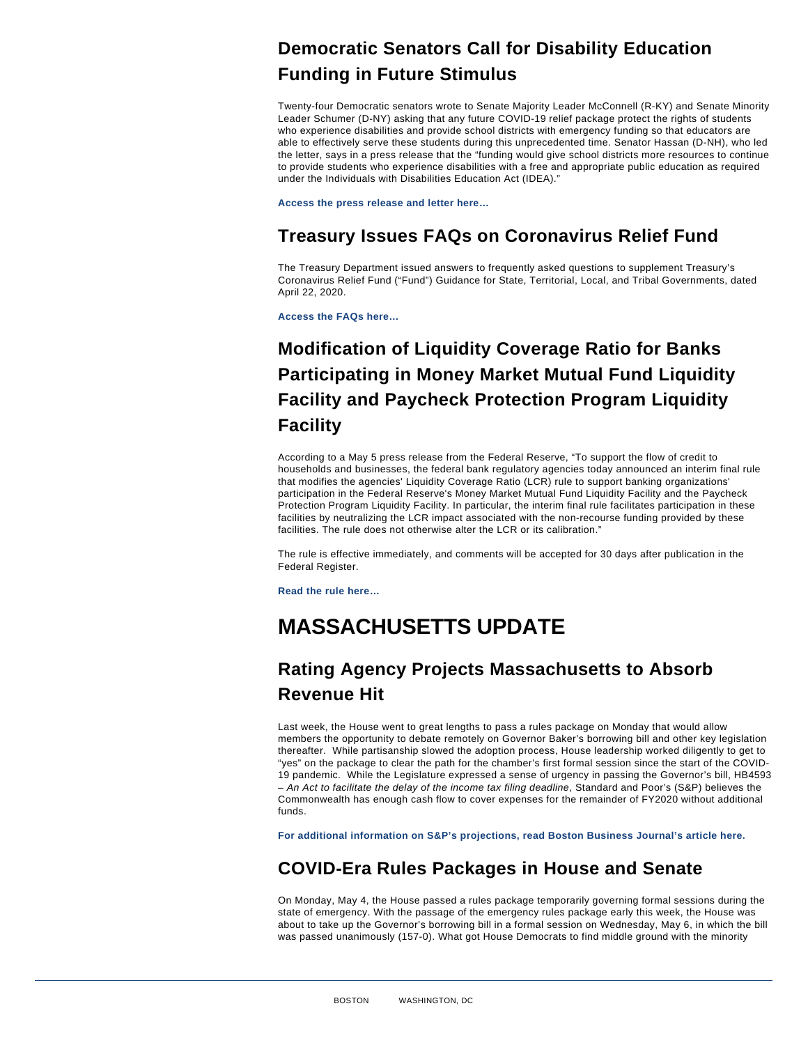#### <span id="page-3-0"></span>Democratic Senators Call for Disability Education Funding in Future Stimulus

Twenty-four Democratic senators wrote to Senate Majority Leader McConnell (R-KY) and Senate Minority Leader Schumer (D-NY) asking that any future COVID-19 relief package protect the rights of students who experience disabilities and provide school districts with emergency funding so that educators are able to effectively serve these students during this unprecedented time. Senator Hassan (D-NH), who led the letter, says in a press release that the "funding would give school districts more resources to continue to provide students who experience disabilities with a free and appropriate public education as required under the Individuals with Disabilities Education Act (IDEA)."

[Access the press release and letter here…](https://www.hassan.senate.gov/news/press-releases/senator-hassan-leads-colleagues-in-call-for-greater-support-for-students-with-disabilities)

#### Treasury Issues FAQs on Coronavirus Relief Fund

The Treasury Department issued answers to frequently asked questions to supplement Treasury's Coronavirus Relief Fund ("Fund") Guidance for State, Territorial, Local, and Tribal Governments, dated April 22, 2020.

[Access the FAQs here…](https://home.treasury.gov/system/files/136/Coronavirus-Relief-Fund-Frequently-Asked-Questions.pdf)

### Modification of Liquidity Coverage Ratio for Banks Participating in Money Market Mutual Fund Liquidity Facility and Paycheck Protection Program Liquidity Facility

According to a May 5 press release from the Federal Reserve, "To support the flow of credit to households and businesses, the federal bank regulatory agencies today announced an interim final rule that modifies the agencies' Liquidity Coverage Ratio (LCR) rule to support banking organizations' participation in the Federal Reserve's Money Market Mutual Fund Liquidity Facility and the Paycheck Protection Program Liquidity Facility. In particular, the interim final rule facilitates participation in these facilities by neutralizing the LCR impact associated with the non-recourse funding provided by these facilities. The rule does not otherwise alter the LCR or its calibration."

The rule is effective immediately, and comments will be accepted for 30 days after publication in the Federal Register.

[Read the rule here…](https://www.federalreserve.gov/newsevents/pressreleases/files/bcreg20200505a1.pdf)

# MASSACHUSETTS UPDATE

### Rating Agency Projects Massachusetts to Absorb Revenue Hit

Last week, the House went to great lengths to pass a rules package on Monday that would allow members the opportunity to debate remotely on Governor Baker's borrowing bill and other key legislation thereafter. While partisanship slowed the adoption process, House leadership worked diligently to get to "yes" on the package to clear the path for the chamber's first formal session since the start of the COVID-19 pandemic. While the Legislature expressed a sense of urgency in passing the Governor's bill, HB4593 – An Act to facilitate the delay of the income tax filing deadline, Standard and Poor's (S&P) believes the Commonwealth has enough cash flow to cover expenses for the remainder of FY2020 without additional funds.

[For additional information on S&P's projections, read Boston Business Journal's article here.](https://www.bizjournals.com/boston/news/2020/05/04/s-p-mass-cash-cushion-can-absorb-blow-to-revenues.html)

#### COVID-Era Rules Packages in House and Senate

On Monday, May 4, the House passed a rules package temporarily governing formal sessions during the state of emergency. With the passage of the emergency rules package early this week, the House was about to take up the Governor's borrowing bill in a formal session on Wednesday, May 6, in which the bill was passed unanimously (157-0). What got House Democrats to find middle ground with the minority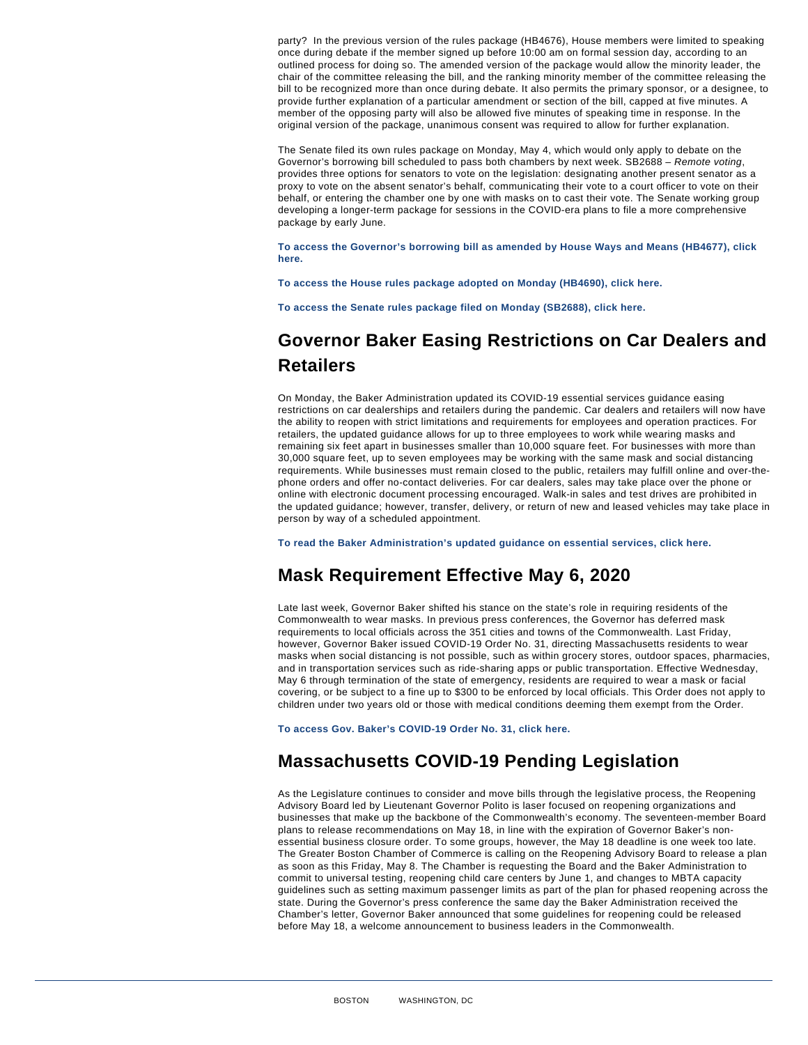<span id="page-4-0"></span>party? In the previous version of the rules package (HB4676), House members were limited to speaking once during debate if the member signed up before 10:00 am on formal session day, according to an outlined process for doing so. The amended version of the package would allow the minority leader, the chair of the committee releasing the bill, and the ranking minority member of the committee releasing the bill to be recognized more than once during debate. It also permits the primary sponsor, or a designee, to provide further explanation of a particular amendment or section of the bill, capped at five minutes. A member of the opposing party will also be allowed five minutes of speaking time in response. In the original version of the package, unanimous consent was required to allow for further explanation.

The Senate filed its own rules package on Monday, May 4, which would only apply to debate on the Governor's borrowing bill scheduled to pass both chambers by next week. SB2688 – Remote voting, provides three options for senators to vote on the legislation: designating another present senator as a proxy to vote on the absent senator's behalf, communicating their vote to a court officer to vote on their behalf, or entering the chamber one by one with masks on to cast their vote. The Senate working group developing a longer-term package for sessions in the COVID-era plans to file a more comprehensive package by early June.

[To access the Governor's borrowing bill as amended by House Ways and Means \(HB4677\), click](https://malegislature.gov/Bills/191/H4677) [here.](https://malegislature.gov/Bills/191/H4677)

[To access the House rules package adopted on Monday \(HB4690\), click here.](https://malegislature.gov/Bills/191/H4690)

[To access the Senate rules package filed on Monday \(SB2688\), click here.](https://malegislature.gov/Bills/191/S2688)

#### Governor Baker Easing Restrictions on Car Dealers and Retailers

On Monday, the Baker Administration updated its COVID-19 essential services guidance easing restrictions on car dealerships and retailers during the pandemic. Car dealers and retailers will now have the ability to reopen with strict limitations and requirements for employees and operation practices. For retailers, the updated guidance allows for up to three employees to work while wearing masks and remaining six feet apart in businesses smaller than 10,000 square feet. For businesses with more than 30,000 square feet, up to seven employees may be working with the same mask and social distancing requirements. While businesses must remain closed to the public, retailers may fulfill online and over-thephone orders and offer no-contact deliveries. For car dealers, sales may take place over the phone or online with electronic document processing encouraged. Walk-in sales and test drives are prohibited in the updated guidance; however, transfer, delivery, or return of new and leased vehicles may take place in person by way of a scheduled appointment.

[To read the Baker Administration's updated guidance on essential services, click here.](https://www.mass.gov/info-details/covid-19-essential-services-faqs)

#### Mask Requirement Effective May 6, 2020

Late last week, Governor Baker shifted his stance on the state's role in requiring residents of the Commonwealth to wear masks. In previous press conferences, the Governor has deferred mask requirements to local officials across the 351 cities and towns of the Commonwealth. Last Friday, however, Governor Baker issued COVID-19 Order No. 31, directing Massachusetts residents to wear masks when social distancing is not possible, such as within grocery stores, outdoor spaces, pharmacies, and in transportation services such as ride-sharing apps or public transportation. Effective Wednesday, May 6 through termination of the state of emergency, residents are required to wear a mask or facial covering, or be subject to a fine up to \$300 to be enforced by local officials. This Order does not apply to children under two years old or those with medical conditions deeming them exempt from the Order.

[To access Gov. Baker's COVID-19 Order No. 31, click here.](https://www.mass.gov/doc/may-1-2020-masks-and-face-coverings/download)

#### Massachusetts COVID-19 Pending Legislation

As the Legislature continues to consider and move bills through the legislative process, the Reopening Advisory Board led by Lieutenant Governor Polito is laser focused on reopening organizations and businesses that make up the backbone of the Commonwealth's economy. The seventeen-member Board plans to release recommendations on May 18, in line with the expiration of Governor Baker's nonessential business closure order. To some groups, however, the May 18 deadline is one week too late. The Greater Boston Chamber of Commerce is calling on the Reopening Advisory Board to release a plan as soon as this Friday, May 8. The Chamber is requesting the Board and the Baker Administration to commit to universal testing, reopening child care centers by June 1, and changes to MBTA capacity guidelines such as setting maximum passenger limits as part of the plan for phased reopening across the state. During the Governor's press conference the same day the Baker Administration received the Chamber's letter, Governor Baker announced that some guidelines for reopening could be released before May 18, a welcome announcement to business leaders in the Commonwealth.